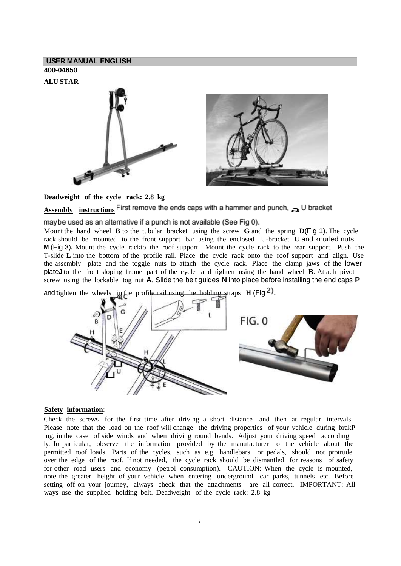## **USER MANUAL ENGLISH 400-04650**

**ALU STAR**



**Deadweight of the cycle rack: 2.8 kg**

```
Assembly instructions \overline{\text{First}} remove the ends caps with a hammer and punch, \Rightarrow U bracket
```
maybe used as an alternative if a punch is not available (See Fig 0).

Mount the hand wheel **B** to the tubular bracket using the screw **G** and the spring **D**(Fig 1). The cycle rack should be mounted to the front support bar using the enclosed U-bracket **U** and knurled nuts **M** (Fig 3)**.** Mount the cycle rackto the roof support. Mount the cycle rack to the rear support. Push the T-slide **L** into the bottom of the profile rail. Place the cycle rack onto the roof support and align. Use the assembly plate and the toggle nuts to attach the cycle rack. Place the clamp jaws of the lower plate**J** to the front sloping frame part of the cycle and tighten using the hand wheel **B**. Attach pivot screw using the lockable tog nut **A**. Slide the belt guides **N** into place before installing the end caps **P**

and tighten the wheels in the profile rail using the holding straps  $H$  (Fig <sup>2</sup>).



## **Safety information**:

Check the screws for the first time after driving a short distance and then at regular intervals. Please note that the load on the roof will change the driving properties of your vehicle during brakP ing, in the case of side winds and when driving round bends. Adjust your driving speed accordingi ly. In particular, observe the information provided by the manufacturer of the vehicle about the permitted roof loads. Parts of the cycles, such as e.g. handlebars or pedals, should not protrude over the edge of the roof. If not needed, the cycle rack should be dismantled for reasons of safety for other road users and economy (petrol consumption). CAUTION: When the cycle is mounted, note the greater height of your vehicle when entering underground car parks, tunnels etc. Before setting off on your journey, always check that the attachments are all correct. IMPORTANT: All ways use the supplied holding belt. Deadweight of the cycle rack: 2.8 kg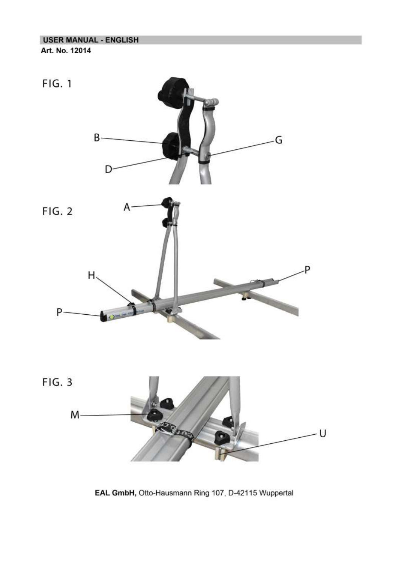

EAL GmbH, Otto-Hausmann Ring 107, D-42115 Wuppertal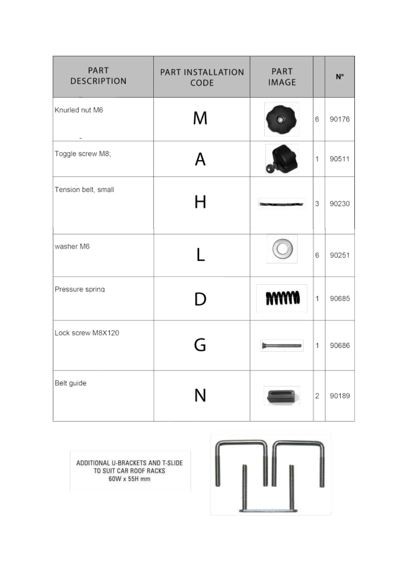| PART<br><b>DESCRIPTION</b> | PART INSTALLATION<br>CODE | PART<br><b>IMAGE</b> |              | N°    |
|----------------------------|---------------------------|----------------------|--------------|-------|
| Knurled nut M6             | M                         | ◉                    | 6            | 90176 |
| Toggle screw M8;           | A                         |                      | 1            | 90511 |
| Tension belt, small        | Н                         |                      | 3            | 90230 |
| washer M6                  |                           |                      | 6            | 90251 |
| Pressure spring            | D                         | <b>NYYYW</b>         | $\mathbf{1}$ | 90685 |
| Lock screw M8X120          |                           |                      | $\mathbf{1}$ | 90686 |
| Belt guide                 | Ν                         |                      | 2            | 90189 |

ADDITIONAL U-BRACKETS AND T-SLIDE TO SUIT CAR ROOF RACKS 60W x 55H mm